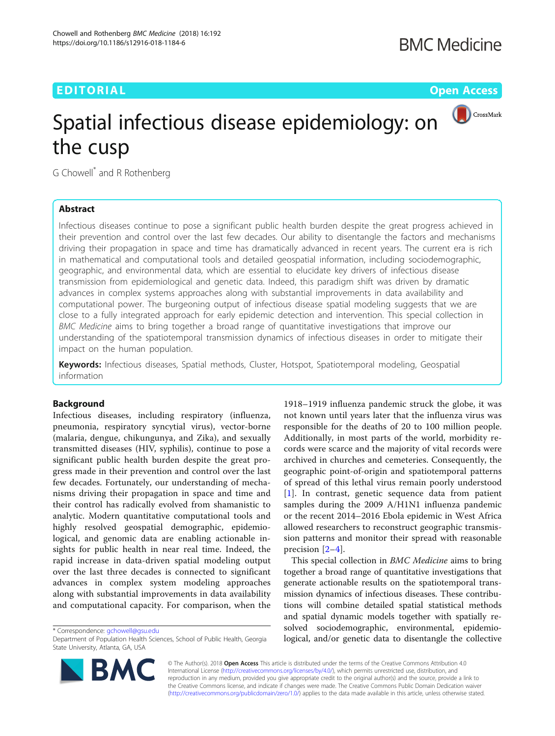# EDITORIAL AND Open Access that the contract of the contract of the contract of the contract of the contract of



# Spatial infectious disease epidemiology: on the cusp

G Chowell\* and R Rothenberg

# Abstract

Infectious diseases continue to pose a significant public health burden despite the great progress achieved in their prevention and control over the last few decades. Our ability to disentangle the factors and mechanisms driving their propagation in space and time has dramatically advanced in recent years. The current era is rich in mathematical and computational tools and detailed geospatial information, including sociodemographic, geographic, and environmental data, which are essential to elucidate key drivers of infectious disease transmission from epidemiological and genetic data. Indeed, this paradigm shift was driven by dramatic advances in complex systems approaches along with substantial improvements in data availability and computational power. The burgeoning output of infectious disease spatial modeling suggests that we are close to a fully integrated approach for early epidemic detection and intervention. This special collection in BMC Medicine aims to bring together a broad range of quantitative investigations that improve our understanding of the spatiotemporal transmission dynamics of infectious diseases in order to mitigate their impact on the human population.

Keywords: Infectious diseases, Spatial methods, Cluster, Hotspot, Spatiotemporal modeling, Geospatial information

# Background

Infectious diseases, including respiratory (influenza, pneumonia, respiratory syncytial virus), vector-borne (malaria, dengue, chikungunya, and Zika), and sexually transmitted diseases (HIV, syphilis), continue to pose a significant public health burden despite the great progress made in their prevention and control over the last few decades. Fortunately, our understanding of mechanisms driving their propagation in space and time and their control has radically evolved from shamanistic to analytic. Modern quantitative computational tools and highly resolved geospatial demographic, epidemiological, and genomic data are enabling actionable insights for public health in near real time. Indeed, the rapid increase in data-driven spatial modeling output over the last three decades is connected to significant advances in complex system modeling approaches along with substantial improvements in data availability and computational capacity. For comparison, when the

\* Correspondence: [gchowell@gsu.edu](mailto:gchowell@gsu.edu)

1918–1919 influenza pandemic struck the globe, it was not known until years later that the influenza virus was responsible for the deaths of 20 to 100 million people. Additionally, in most parts of the world, morbidity records were scarce and the majority of vital records were archived in churches and cemeteries. Consequently, the geographic point-of-origin and spatiotemporal patterns of spread of this lethal virus remain poorly understood [[1](#page-3-0)]. In contrast, genetic sequence data from patient samples during the 2009 A/H1N1 influenza pandemic or the recent 2014–2016 Ebola epidemic in West Africa allowed researchers to reconstruct geographic transmission patterns and monitor their spread with reasonable precision [[2](#page-3-0)–[4\]](#page-3-0).

This special collection in BMC Medicine aims to bring together a broad range of quantitative investigations that generate actionable results on the spatiotemporal transmission dynamics of infectious diseases. These contributions will combine detailed spatial statistical methods and spatial dynamic models together with spatially resolved sociodemographic, environmental, epidemiological, and/or genetic data to disentangle the collective



© The Author(s). 2018 Open Access This article is distributed under the terms of the Creative Commons Attribution 4.0 International License [\(http://creativecommons.org/licenses/by/4.0/](http://creativecommons.org/licenses/by/4.0/)), which permits unrestricted use, distribution, and reproduction in any medium, provided you give appropriate credit to the original author(s) and the source, provide a link to the Creative Commons license, and indicate if changes were made. The Creative Commons Public Domain Dedication waiver [\(http://creativecommons.org/publicdomain/zero/1.0/](http://creativecommons.org/publicdomain/zero/1.0/)) applies to the data made available in this article, unless otherwise stated.

Department of Population Health Sciences, School of Public Health, Georgia State University, Atlanta, GA, USA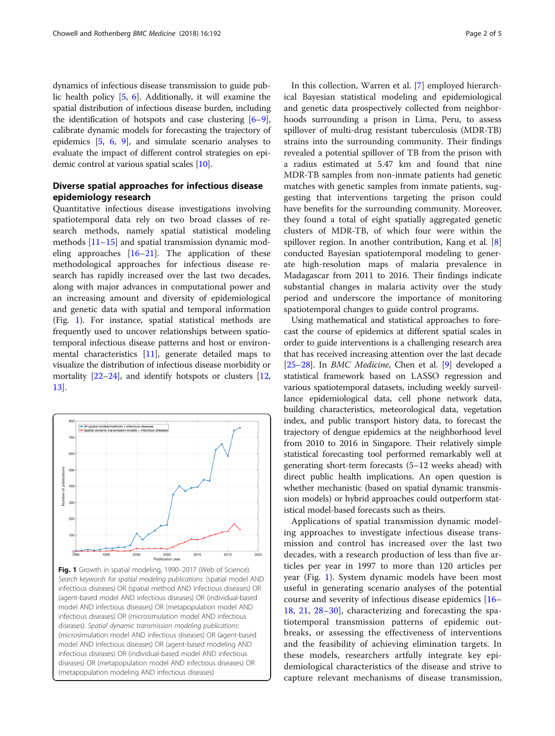dynamics of infectious disease transmission to guide public health policy [\[5](#page-3-0), [6](#page-3-0)]. Additionally, it will examine the spatial distribution of infectious disease burden, including the identification of hotspots and case clustering [[6](#page-3-0)–[9](#page-3-0)], calibrate dynamic models for forecasting the trajectory of epidemics [\[5](#page-3-0), [6,](#page-3-0) [9](#page-3-0)], and simulate scenario analyses to evaluate the impact of different control strategies on epidemic control at various spatial scales [\[10\]](#page-3-0).

# Diverse spatial approaches for infectious disease epidemiology research

Quantitative infectious disease investigations involving spatiotemporal data rely on two broad classes of research methods, namely spatial statistical modeling methods [[11](#page-3-0)–[15](#page-3-0)] and spatial transmission dynamic modeling approaches [\[16](#page-3-0)–[21\]](#page-3-0). The application of these methodological approaches for infectious disease research has rapidly increased over the last two decades, along with major advances in computational power and an increasing amount and diversity of epidemiological and genetic data with spatial and temporal information (Fig. 1). For instance, spatial statistical methods are frequently used to uncover relationships between spatiotemporal infectious disease patterns and host or environmental characteristics [[11](#page-3-0)], generate detailed maps to visualize the distribution of infectious disease morbidity or mortality [[22](#page-3-0)–[24\]](#page-3-0), and identify hotspots or clusters [[12](#page-3-0), [13](#page-3-0)].



Fig. 1 Growth in spatial modeling, 1990-2017 (Web of Science). Search keywords for spatial modeling publications: (spatial model AND infectious diseases) OR (spatial method AND infectious diseases) OR (agent-based model AND infectious diseases) OR (individual-based model AND infectious diseases) OR (metapopulation model AND infectious diseases) OR (microsimulation model AND infectious diseases). Spatial dynamic transmission modeling publications: (microsimulation model AND infectious diseases) OR (agent-based model AND infectious diseases) OR (agent-based modeling AND infectious diseases) OR (individual-based model AND infectious diseases) OR (metapopulation model AND infectious diseases) OR (metapopulation modeling AND infectious diseases)

In this collection, Warren et al. [[7\]](#page-3-0) employed hierarchical Bayesian statistical modeling and epidemiological and genetic data prospectively collected from neighborhoods surrounding a prison in Lima, Peru, to assess spillover of multi-drug resistant tuberculosis (MDR-TB) strains into the surrounding community. Their findings revealed a potential spillover of TB from the prison with a radius estimated at 5.47 km and found that nine MDR-TB samples from non-inmate patients had genetic matches with genetic samples from inmate patients, suggesting that interventions targeting the prison could have benefits for the surrounding community. Moreover, they found a total of eight spatially aggregated genetic clusters of MDR-TB, of which four were within the spillover region. In another contribution, Kang et al. [\[8](#page-3-0)] conducted Bayesian spatiotemporal modeling to generate high-resolution maps of malaria prevalence in Madagascar from 2011 to 2016. Their findings indicate substantial changes in malaria activity over the study period and underscore the importance of monitoring spatiotemporal changes to guide control programs.

Using mathematical and statistical approaches to forecast the course of epidemics at different spatial scales in order to guide interventions is a challenging research area that has received increasing attention over the last decade [[25](#page-3-0)–[28\]](#page-3-0). In BMC Medicine, Chen et al. [\[9](#page-3-0)] developed a statistical framework based on LASSO regression and various spatiotemporal datasets, including weekly surveillance epidemiological data, cell phone network data, building characteristics, meteorological data, vegetation index, and public transport history data, to forecast the trajectory of dengue epidemics at the neighborhood level from 2010 to 2016 in Singapore. Their relatively simple statistical forecasting tool performed remarkably well at generating short-term forecasts (5–12 weeks ahead) with direct public health implications. An open question is whether mechanistic (based on spatial dynamic transmission models) or hybrid approaches could outperform statistical model-based forecasts such as theirs.

Applications of spatial transmission dynamic modeling approaches to investigate infectious disease transmission and control has increased over the last two decades, with a research production of less than five articles per year in 1997 to more than 120 articles per year (Fig. 1). System dynamic models have been most useful in generating scenario analyses of the potential course and severity of infectious disease epidemics [[16](#page-3-0)– [18,](#page-3-0) [21,](#page-3-0) [28](#page-3-0)–[30](#page-3-0)], characterizing and forecasting the spatiotemporal transmission patterns of epidemic outbreaks, or assessing the effectiveness of interventions and the feasibility of achieving elimination targets. In these models, researchers artfully integrate key epidemiological characteristics of the disease and strive to capture relevant mechanisms of disease transmission,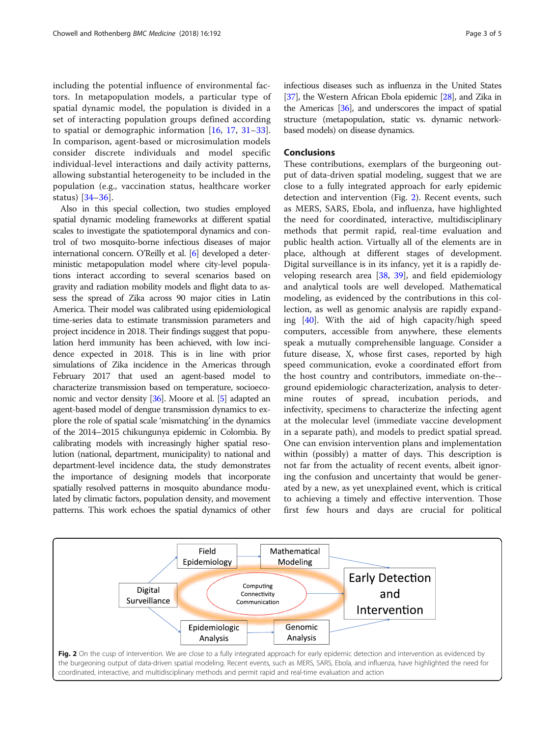including the potential influence of environmental factors. In metapopulation models, a particular type of spatial dynamic model, the population is divided in a set of interacting population groups defined according to spatial or demographic information [[16,](#page-3-0) [17](#page-3-0), [31](#page-3-0)–[33](#page-3-0)]. In comparison, agent-based or microsimulation models consider discrete individuals and model specific individual-level interactions and daily activity patterns, allowing substantial heterogeneity to be included in the population (e.g., vaccination status, healthcare worker status) [\[34](#page-3-0)–[36](#page-4-0)].

Also in this special collection, two studies employed spatial dynamic modeling frameworks at different spatial scales to investigate the spatiotemporal dynamics and control of two mosquito-borne infectious diseases of major international concern. O'Reilly et al. [\[6\]](#page-3-0) developed a deterministic metapopulation model where city-level populations interact according to several scenarios based on gravity and radiation mobility models and flight data to assess the spread of Zika across 90 major cities in Latin America. Their model was calibrated using epidemiological time-series data to estimate transmission parameters and project incidence in 2018. Their findings suggest that population herd immunity has been achieved, with low incidence expected in 2018. This is in line with prior simulations of Zika incidence in the Americas through February 2017 that used an agent-based model to characterize transmission based on temperature, socioeconomic and vector density [[36](#page-4-0)]. Moore et al. [\[5\]](#page-3-0) adapted an agent-based model of dengue transmission dynamics to explore the role of spatial scale 'mismatching' in the dynamics of the 2014–2015 chikungunya epidemic in Colombia. By calibrating models with increasingly higher spatial resolution (national, department, municipality) to national and department-level incidence data, the study demonstrates the importance of designing models that incorporate spatially resolved patterns in mosquito abundance modulated by climatic factors, population density, and movement patterns. This work echoes the spatial dynamics of other infectious diseases such as influenza in the United States [[37](#page-4-0)], the Western African Ebola epidemic [\[28\]](#page-3-0), and Zika in the Americas [\[36\]](#page-4-0), and underscores the impact of spatial structure (metapopulation, static vs. dynamic networkbased models) on disease dynamics.

## **Conclusions**

These contributions, exemplars of the burgeoning output of data-driven spatial modeling, suggest that we are close to a fully integrated approach for early epidemic detection and intervention (Fig. 2). Recent events, such as MERS, SARS, Ebola, and influenza, have highlighted the need for coordinated, interactive, multidisciplinary methods that permit rapid, real-time evaluation and public health action. Virtually all of the elements are in place, although at different stages of development. Digital surveillance is in its infancy, yet it is a rapidly developing research area [[38](#page-4-0), [39\]](#page-4-0), and field epidemiology and analytical tools are well developed. Mathematical modeling, as evidenced by the contributions in this collection, as well as genomic analysis are rapidly expanding [\[40](#page-4-0)]. With the aid of high capacity/high speed computers, accessible from anywhere, these elements speak a mutually comprehensible language. Consider a future disease, X, whose first cases, reported by high speed communication, evoke a coordinated effort from the host country and contributors, immediate on-the- ground epidemiologic characterization, analysis to determine routes of spread, incubation periods, and infectivity, specimens to characterize the infecting agent at the molecular level (immediate vaccine development in a separate path), and models to predict spatial spread. One can envision intervention plans and implementation within (possibly) a matter of days. This description is not far from the actuality of recent events, albeit ignoring the confusion and uncertainty that would be generated by a new, as yet unexplained event, which is critical to achieving a timely and effective intervention. Those first few hours and days are crucial for political

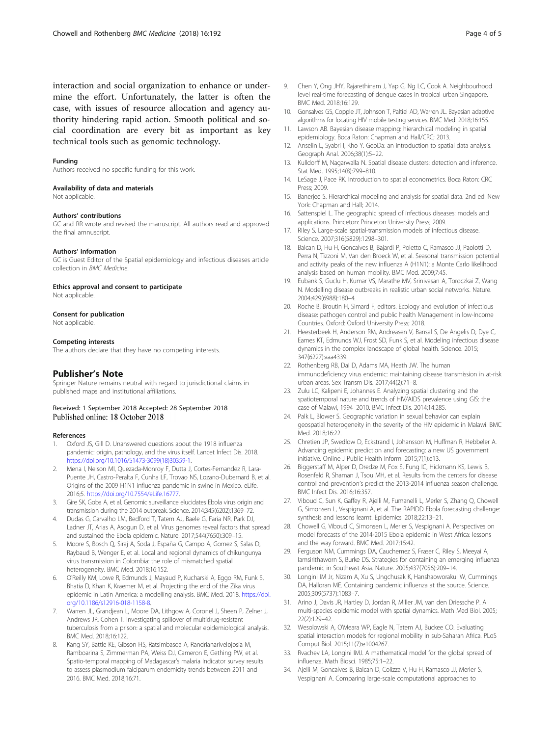<span id="page-3-0"></span>interaction and social organization to enhance or undermine the effort. Unfortunately, the latter is often the case, with issues of resource allocation and agency authority hindering rapid action. Smooth political and social coordination are every bit as important as key technical tools such as genomic technology.

#### Funding

Authors received no specific funding for this work.

#### Availability of data and materials

Not applicable.

#### Authors' contributions

GC and RR wrote and revised the manuscript. All authors read and approved the final amnuscript.

#### Authors' information

GC is Guest Editor of the Spatial epidemiology and infectious diseases article collection in BMC Medicine.

Ethics approval and consent to participate

Not applicable.

#### Consent for publication

Not applicable.

#### Competing interests

The authors declare that they have no competing interests.

### Publisher's Note

Springer Nature remains neutral with regard to jurisdictional claims in published maps and institutional affiliations.

#### Received: 1 September 2018 Accepted: 28 September 2018 Published online: 18 October 2018

#### References

- 1. Oxford JS, Gill D. Unanswered questions about the 1918 influenza pandemic: origin, pathology, and the virus itself. Lancet Infect Dis. 2018. [https://doi.org/10.1016/S1473-3099\(18\)30359-1.](https://doi.org/10.1016/S1473-3099(18)30359-1)
- 2. Mena I, Nelson MI, Quezada-Monroy F, Dutta J, Cortes-Fernandez R, Lara-Puente JH, Castro-Peralta F, Cunha LF, Trovao NS, Lozano-Dubernard B, et al. Origins of the 2009 H1N1 influenza pandemic in swine in Mexico. eLife. 2016;5. <https://doi.org/10.7554/eLife.16777>.
- 3. Gire SK, Goba A, et al. Genomic surveillance elucidates Ebola virus origin and transmission during the 2014 outbreak. Science. 2014;345(6202):1369–72.
- 4. Dudas G, Carvalho LM, Bedford T, Tatem AJ, Baele G, Faria NR, Park DJ, Ladner JT, Arias A, Asogun D, et al. Virus genomes reveal factors that spread and sustained the Ebola epidemic. Nature. 2017;544(7650):309–15.
- 5. Moore S, Bosch Q, Siraj A, Soda J, España G, Campo A, Gomez S, Salas D, Raybaud B, Wenger E, et al. Local and regional dynamics of chikungunya virus transmission in Colombia: the role of mismatched spatial heterogeneity. BMC Med. 2018;16:152.
- O'Reilly KM, Lowe R, Edmunds J, Mayaud P, Kucharski A, Eggo RM, Funk S, Bhatia D, Khan K, Kraemer M, et al. Projecting the end of the Zika virus epidemic in Latin America: a modelling analysis. BMC Med. 2018. [https://doi.](https://doi.org/10.1186/s12916-018-1158-8) [org/10.1186/s12916-018-1158-8](https://doi.org/10.1186/s12916-018-1158-8).
- 7. Warren JL, Grandjean L, Moore DA, Lithgow A, Coronel J, Sheen P, Zelner J, Andrews JR, Cohen T. Investigating spillover of multidrug-resistant tuberculosis from a prison: a spatial and molecular epidemiological analysis. BMC Med. 2018;16:122.
- Kang SY, Battle KE, Gibson HS, Ratsimbasoa A, Randrianarivelojosia M, Ramboarina S, Zimmerman PA, Weiss DJ, Cameron E, Gething PW, et al. Spatio-temporal mapping of Madagascar's malaria Indicator survey results to assess plasmodium falciparum endemicity trends between 2011 and 2016. BMC Med. 2018;16:71.
- 9. Chen Y, Ong JHY, Rajarethinam J, Yap G, Ng LC, Cook A. Neighbourhood level real-time forecasting of dengue cases in tropical urban Singapore. BMC Med. 2018;16:129.
- 10. Gonsalves GS, Copple JT, Johnson T, Paltiel AD, Warren JL. Bayesian adaptive algorithms for locating HIV mobile testing services. BMC Med. 2018;16:155.
- 11. Lawson AB. Bayesian disease mapping: hierarchical modeling in spatial epidemiology. Boca Raton: Chapman and Hall/CRC; 2013.
- 12. Anselin L, Syabri I, Kho Y. GeoDa: an introduction to spatial data analysis. Geograph Anal. 2006;38(1):5–22.
- 13. Kulldorff M, Nagarwalla N. Spatial disease clusters: detection and inference. Stat Med. 1995;14(8):799–810.
- 14. LeSage J, Pace RK. Introduction to spatial econometrics. Boca Raton: CRC Press; 2009.
- 15. Banerjee S. Hierarchical modeling and analysis for spatial data. 2nd ed. New York: Chapman and Hall; 2014.
- 16. Sattenspiel L. The geographic spread of infectious diseases: models and applications. Princeton: Princeton University Press; 2009.
- 17. Riley S. Large-scale spatial-transmission models of infectious disease. Science. 2007;316(5829):1298–301.
- 18. Balcan D, Hu H, Goncalves B, Bajardi P, Poletto C, Ramasco JJ, Paolotti D, Perra N, Tizzoni M, Van den Broeck W, et al. Seasonal transmission potential and activity peaks of the new influenza A (H1N1): a Monte Carlo likelihood analysis based on human mobility. BMC Med. 2009;7:45.
- 19. Eubank S, Guclu H, Kumar VS, Marathe MV, Srinivasan A, Toroczkai Z, Wang N. Modelling disease outbreaks in realistic urban social networks. Nature. 2004;429(6988):180–4.
- 20. Roche B, Broutin H, Simard F, editors. Ecology and evolution of infectious disease: pathogen control and public health Management in low-Income Countries. Oxford: Oxford University Press; 2018.
- 21. Heesterbeek H, Anderson RM, Andreasen V, Bansal S, De Angelis D, Dye C, Eames KT, Edmunds WJ, Frost SD, Funk S, et al. Modeling infectious disease dynamics in the complex landscape of global health. Science. 2015; 347(6227):aaa4339.
- 22. Rothenberg RB, Dai D, Adams MA, Heath JW. The human immunodeficiency virus endemic: maintaining disease transmission in at-risk urban areas. Sex Transm Dis. 2017;44(2):71–8.
- 23. Zulu LC, Kalipeni E, Johannes E. Analyzing spatial clustering and the spatiotemporal nature and trends of HIV/AIDS prevalence using GIS: the case of Malawi, 1994–2010. BMC Infect Dis. 2014;14:285.
- 24. Palk L, Blower S. Geographic variation in sexual behavior can explain geospatial heterogeneity in the severity of the HIV epidemic in Malawi. BMC Med. 2018;16:22.
- 25. Chretien JP, Swedlow D, Eckstrand I, Johansson M, Huffman R, Hebbeler A. Advancing epidemic prediction and forecasting: a new US government initiative. Online J Public Health Inform. 2015;7(1):e13.
- 26. Biggerstaff M, Alper D, Dredze M, Fox S, Fung IC, Hickmann KS, Lewis B, Rosenfeld R, Shaman J, Tsou MH, et al. Results from the centers for disease control and prevention's predict the 2013-2014 influenza season challenge. BMC Infect Dis. 2016;16:357.
- 27. Viboud C, Sun K, Gaffey R, Ajelli M, Fumanelli L, Merler S, Zhang Q, Chowell G, Simonsen L, Vespignani A, et al. The RAPIDD Ebola forecasting challenge: synthesis and lessons learnt. Epidemics. 2018;22:13–21.
- 28. Chowell G, Viboud C, Simonsen L, Merler S, Vespignani A. Perspectives on model forecasts of the 2014-2015 Ebola epidemic in West Africa: lessons and the way forward. BMC Med. 2017;15:42.
- 29. Ferguson NM, Cummings DA, Cauchemez S, Fraser C, Riley S, Meeyai A, Iamsirithaworn S, Burke DS. Strategies for containing an emerging influenza pandemic in Southeast Asia. Nature. 2005;437(7056):209–14.
- 30. Longini IM Jr, Nizam A, Xu S, Ungchusak K, Hanshaoworakul W, Cummings DA, Halloran ME. Containing pandemic influenza at the source. Science. 2005;309(5737):1083–7.
- 31. Arino J, Davis JR, Hartley D, Jordan R, Miller JM, van den Driessche P. A multi-species epidemic model with spatial dynamics. Math Med Biol. 2005; 22(2):129–42.
- 32. Wesolowski A, O'Meara WP, Eagle N, Tatem AJ, Buckee CO. Evaluating spatial interaction models for regional mobility in sub-Saharan Africa. PLoS Comput Biol. 2015;11(7):e1004267.
- 33. Rvachev LA, Longini IMJ. A mathematical model for the global spread of influenza. Math Biosci. 1985;75:1–22.
- 34. Ajelli M, Goncalves B, Balcan D, Colizza V, Hu H, Ramasco JJ, Merler S, Vespignani A. Comparing large-scale computational approaches to